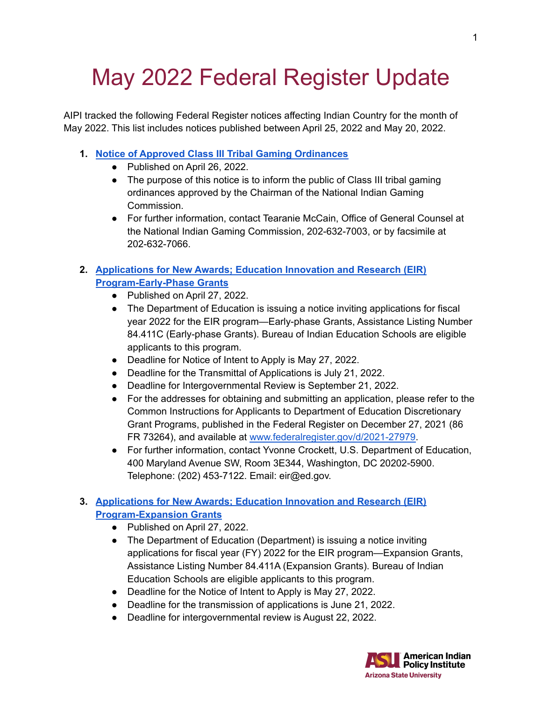# May 2022 Federal Register Update

AIPI tracked the following Federal Register notices affecting Indian Country for the month of May 2022. This list includes notices published between April 25, 2022 and May 20, 2022.

## **1. Notice of Approved Class III Tribal Gaming [Ordinances](https://www.federalregister.gov/documents/2022/04/26/2022-08853/notice-of-approved-class-iii-tribal-gaming-ordinances)**

- Published on April 26, 2022.
- The purpose of this notice is to inform the public of Class III tribal gaming ordinances approved by the Chairman of the National Indian Gaming Commission.
- For further information, contact Tearanie McCain, Office of General Counsel at the National Indian Gaming Commission, 202-632-7003, or by facsimile at 202-632-7066.

## **2. [Applications](https://www.federalregister.gov/documents/2022/04/27/2022-09084/applications-for-new-awards-education-innovation-and-research-eir-program-early-phase-grants) for New Awards; Education Innovation and Research (EIR) [Program-Early-Phase](https://www.federalregister.gov/documents/2022/04/27/2022-09084/applications-for-new-awards-education-innovation-and-research-eir-program-early-phase-grants) Grants**

- Published on April 27, 2022.
- The Department of Education is issuing a notice inviting applications for fiscal year 2022 for the EIR program—Early-phase Grants, Assistance Listing Number 84.411C (Early-phase Grants). Bureau of Indian Education Schools are eligible applicants to this program.
- Deadline for Notice of Intent to Apply is May 27, 2022.
- Deadline for the Transmittal of Applications is July 21, 2022.
- Deadline for Intergovernmental Review is September 21, 2022.
- For the addresses for obtaining and submitting an application, please refer to the Common Instructions for Applicants to Department of Education Discretionary Grant Programs, published in the Federal Register on December 27, 2021 (86 FR 73264), and available at [www.federalregister.gov/d/2021-27979.](http://www.federalregister.gov/%E2%80%8Bd/%E2%80%8B2021-27979)
- For further information, contact Yvonne Crockett, U.S. Department of Education, 400 Maryland Avenue SW, Room 3E344, Washington, DC 20202-5900. Telephone: (202) 453-7122. Email: eir@ed.gov.

## **3. [Applications](https://www.federalregister.gov/documents/2022/04/27/2022-09086/applications-for-new-awards-education-innovation-and-research-eir-program-expansion-grants) for New Awards; Education Innovation and Research (EIR) [Program-Expansion](https://www.federalregister.gov/documents/2022/04/27/2022-09086/applications-for-new-awards-education-innovation-and-research-eir-program-expansion-grants) Grants**

- Published on April 27, 2022.
- The Department of Education (Department) is issuing a notice inviting applications for fiscal year (FY) 2022 for the EIR program—Expansion Grants, Assistance Listing Number 84.411A (Expansion Grants). Bureau of Indian Education Schools are eligible applicants to this program.
- Deadline for the Notice of Intent to Apply is May 27, 2022.
- Deadline for the transmission of applications is June 21, 2022.
- Deadline for intergovernmental review is August 22, 2022.

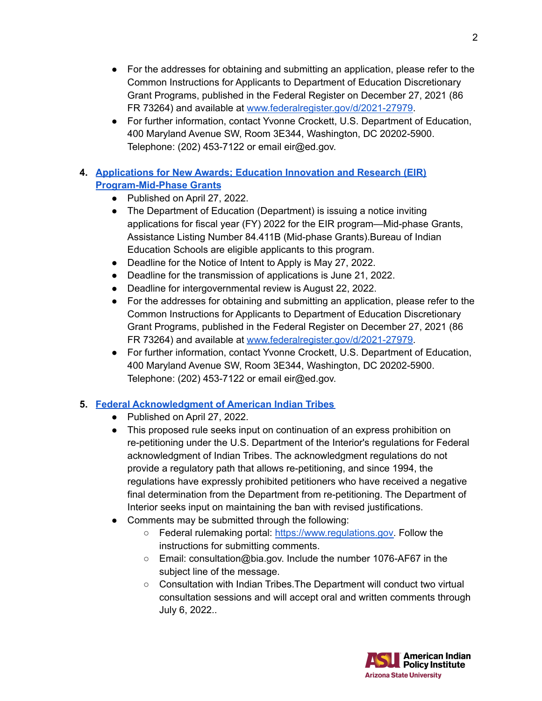- For the addresses for obtaining and submitting an application, please refer to the Common Instructions for Applicants to Department of Education Discretionary Grant Programs, published in the Federal Register on December 27, 2021 (86 FR 73264) and available at [www.federalregister.gov/d/2021-27979.](http://www.federalregister.gov/%E2%80%8Bd/%E2%80%8B2021-27979)
- For further information, contact Yvonne Crockett, U.S. Department of Education, 400 Maryland Avenue SW, Room 3E344, Washington, DC 20202-5900. Telephone: (202) 453-7122 or email eir@ed.gov.

## **4. [Applications](https://www.federalregister.gov/documents/2022/04/27/2022-09085/applications-for-new-awards-education-innovation-and-research-eir-program-mid-phase-grants) for New Awards; Education Innovation and Research (EIR) [Program-Mid-Phase](https://www.federalregister.gov/documents/2022/04/27/2022-09085/applications-for-new-awards-education-innovation-and-research-eir-program-mid-phase-grants) Grants**

- **●** Published on April 27, 2022.
- The Department of Education (Department) is issuing a notice inviting applications for fiscal year (FY) 2022 for the EIR program—Mid-phase Grants, Assistance Listing Number 84.411B (Mid-phase Grants).Bureau of Indian Education Schools are eligible applicants to this program.
- Deadline for the Notice of Intent to Apply is May 27, 2022.
- Deadline for the transmission of applications is June 21, 2022.
- Deadline for intergovernmental review is August 22, 2022.
- For the addresses for obtaining and submitting an application, please refer to the Common Instructions for Applicants to Department of Education Discretionary Grant Programs, published in the Federal Register on December 27, 2021 (86 FR 73264) and available at [www.federalregister.gov/d/2021-27979.](http://www.federalregister.gov/%E2%80%8Bd/%E2%80%8B2021-27979)
- For further information, contact Yvonne Crockett, U.S. Department of Education, 400 Maryland Avenue SW, Room 3E344, Washington, DC 20202-5900. Telephone: (202) 453-7122 or email eir@ed.gov.

## **5. Federal [Acknowledgment](https://www.federalregister.gov/documents/2022/04/27/2022-08488/federal-acknowledgment-of-american-indian-tribes) of American Indian Tribes**

- **●** Published on April 27, 2022.
- This proposed rule seeks input on continuation of an express prohibition on re-petitioning under the U.S. Department of the Interior's regulations for Federal acknowledgment of Indian Tribes. The acknowledgment regulations do not provide a regulatory path that allows re-petitioning, and since 1994, the regulations have expressly prohibited petitioners who have received a negative final determination from the Department from re-petitioning. The Department of Interior seeks input on maintaining the ban with revised justifications.
- Comments may be submitted through the following:
	- Federal rulemaking portal: [https://www.regulations.gov.](https://www.regulations.gov) Follow the instructions for submitting comments.
	- Email: consultation@bia.gov. Include the number 1076-AF67 in the subject line of the message.
	- Consultation with Indian Tribes. The Department will conduct two virtual consultation sessions and will accept oral and written comments through July 6, 2022..

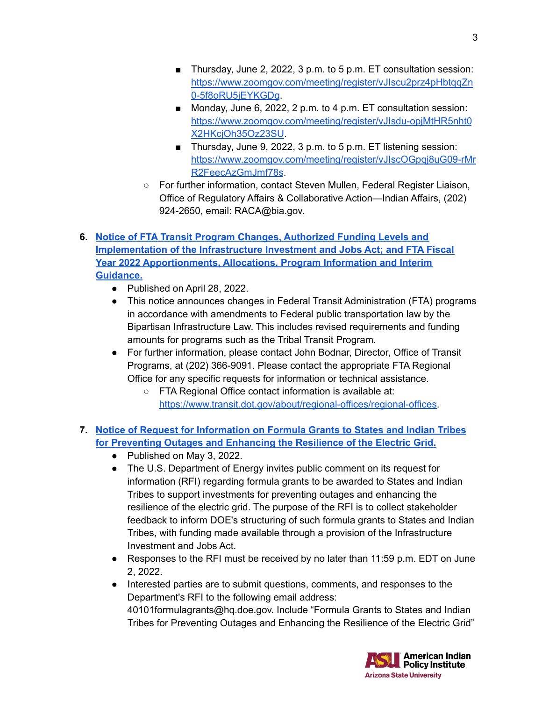- Thursday, June 2, 2022, 3 p.m. to 5 p.m. ET consultation session: [https://www.zoomgov.com/meeting/register/vJIscu2prz4pHbtqqZn](https://www.zoomgov.com/%E2%80%8Bmeeting/%E2%80%8Bregister/%E2%80%8BvJIscu2prz4pHbtqqZn0-5f8oRU5jEYKGDg) [0-5f8oRU5jEYKGDg](https://www.zoomgov.com/%E2%80%8Bmeeting/%E2%80%8Bregister/%E2%80%8BvJIscu2prz4pHbtqqZn0-5f8oRU5jEYKGDg).
- Monday, June 6, 2022, 2 p.m. to 4 p.m. ET consultation session: [https://www.zoomgov.com/meeting/register/vJIsdu-opjMtHR5nht0](https://www.zoomgov.com/%E2%80%8Bmeeting/%E2%80%8Bregister/%E2%80%8BvJIsdu-opjMtHR5nht0X2HKcjOh35Oz23SU) [X2HKcjOh35Oz23SU](https://www.zoomgov.com/%E2%80%8Bmeeting/%E2%80%8Bregister/%E2%80%8BvJIsdu-opjMtHR5nht0X2HKcjOh35Oz23SU).
- Thursday, June 9, 2022, 3 p.m. to 5 p.m. ET listening session: [https://www.zoomgov.com/meeting/register/vJIscOGpqj8uG09-rMr](https://www.zoomgov.com/%E2%80%8Bmeeting/%E2%80%8Bregister/%E2%80%8BvJIscOGpqj8uG09-rMrR2FeecAzGmJmf78s) [R2FeecAzGmJmf78s](https://www.zoomgov.com/%E2%80%8Bmeeting/%E2%80%8Bregister/%E2%80%8BvJIscOGpqj8uG09-rMrR2FeecAzGmJmf78s).
- For further information, contact Steven Mullen, Federal Register Liaison, Office of Regulatory Affairs & Collaborative Action—Indian Affairs, (202) 924-2650, email: RACA@bia.gov.
- **6. Notice of FTA Transit Program Changes, [Authorized](https://www.federalregister.gov/documents/2022/04/28/2022-09143/notice-of-fta-transit-program-changes-authorized-funding-levels-and-implementation-of-the) Funding Levels and [Implementation](https://www.federalregister.gov/documents/2022/04/28/2022-09143/notice-of-fta-transit-program-changes-authorized-funding-levels-and-implementation-of-the) of the Infrastructure Investment and Jobs Act; and FTA Fiscal Year 2022 [Apportionments,](https://www.federalregister.gov/documents/2022/04/28/2022-09143/notice-of-fta-transit-program-changes-authorized-funding-levels-and-implementation-of-the) Allocations, Program Information and Interim [Guidance.](https://www.federalregister.gov/documents/2022/04/28/2022-09143/notice-of-fta-transit-program-changes-authorized-funding-levels-and-implementation-of-the)**
	- Published on April 28, 2022.
	- This notice announces changes in Federal Transit Administration (FTA) programs in accordance with amendments to Federal public transportation law by the Bipartisan Infrastructure Law. This includes revised requirements and funding amounts for programs such as the Tribal Transit Program.
	- For further information, please contact John Bodnar, Director, Office of Transit Programs, at (202) 366-9091. Please contact the appropriate FTA Regional Office for any specific requests for information or technical assistance.
		- FTA Regional Office contact information is available at: [https://www.transit.dot.gov/about/regional-offices/regional-offices.](https://www.transit.dot.gov/%E2%80%8Babout/%E2%80%8Bregional-offices/%E2%80%8Bregional-offices)
- **7. Notice of Request for [Information](https://www.federalregister.gov/documents/2022/05/03/2022-09445/notice-of-request-for-information-on-formula-grants-to-states-and-indian-tribes-for-preventing) on Formula Grants to States and Indian Tribes for [Preventing](https://www.federalregister.gov/documents/2022/05/03/2022-09445/notice-of-request-for-information-on-formula-grants-to-states-and-indian-tribes-for-preventing) Outages and Enhancing the Resilience of the Electric Grid.**
	- Published on May 3, 2022.
	- The U.S. Department of Energy invites public comment on its request for information (RFI) regarding formula grants to be awarded to States and Indian Tribes to support investments for preventing outages and enhancing the resilience of the electric grid. The purpose of the RFI is to collect stakeholder feedback to inform DOE's structuring of such formula grants to States and Indian Tribes, with funding made available through a provision of the Infrastructure Investment and Jobs Act.
	- Responses to the RFI must be received by no later than  $11:59$  p.m. EDT on June 2, 2022.
	- Interested parties are to submit questions, comments, and responses to the Department's RFI to the following email address: 40101formulagrants@hq.doe.gov. Include "Formula Grants to States and Indian Tribes for Preventing Outages and Enhancing the Resilience of the Electric Grid"